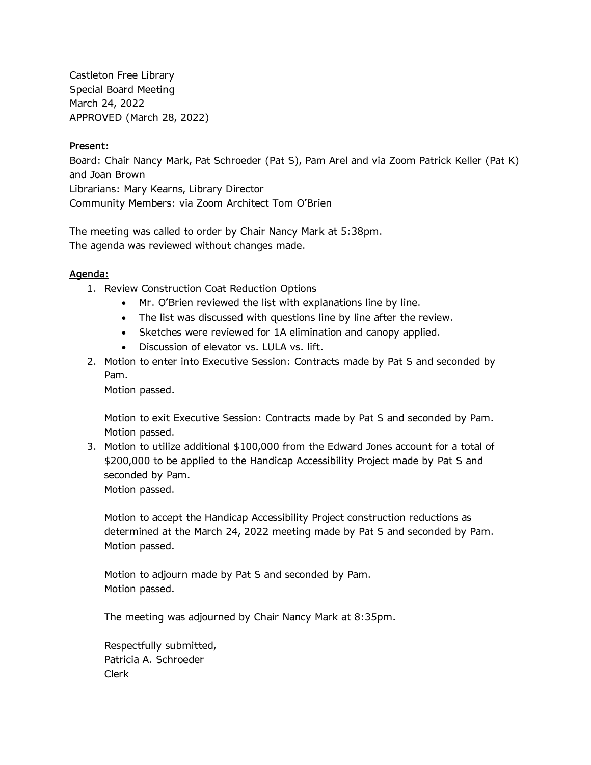Castleton Free Library Special Board Meeting March 24, 2022 APPROVED (March 28, 2022)

## **Present:**

Board: Chair Nancy Mark, Pat Schroeder (Pat S), Pam Arel and via Zoom Patrick Keller (Pat K) and Joan Brown Librarians: Mary Kearns, Library Director Community Members: via Zoom Architect Tom O'Brien

The meeting was called to order by Chair Nancy Mark at 5:38pm. The agenda was reviewed without changes made.

## **Agenda:**

- 1. Review Construction Coat Reduction Options
	- Mr. O'Brien reviewed the list with explanations line by line.
	- The list was discussed with questions line by line after the review.
	- Sketches were reviewed for 1A elimination and canopy applied.
	- Discussion of elevator vs. LULA vs. lift.
- 2. Motion to enter into Executive Session: Contracts made by Pat S and seconded by Pam.

Motion passed.

Motion to exit Executive Session: Contracts made by Pat S and seconded by Pam. Motion passed.

3. Motion to utilize additional \$100,000 from the Edward Jones account for a total of \$200,000 to be applied to the Handicap Accessibility Project made by Pat S and seconded by Pam. Motion passed.

Motion to accept the Handicap Accessibility Project construction reductions as determined at the March 24, 2022 meeting made by Pat S and seconded by Pam. Motion passed.

Motion to adjourn made by Pat S and seconded by Pam. Motion passed.

The meeting was adjourned by Chair Nancy Mark at 8:35pm.

Respectfully submitted, Patricia A. Schroeder Clerk